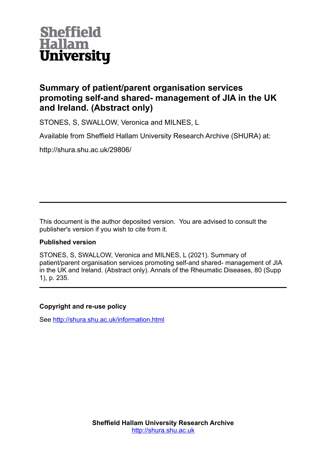

# **Summary of patient/parent organisation services promoting self-and shared- management of JIA in the UK and Ireland. (Abstract only)**

STONES, S, SWALLOW, Veronica and MILNES, L

Available from Sheffield Hallam University Research Archive (SHURA) at:

http://shura.shu.ac.uk/29806/

This document is the author deposited version. You are advised to consult the publisher's version if you wish to cite from it.

# **Published version**

STONES, S, SWALLOW, Veronica and MILNES, L (2021). Summary of patient/parent organisation services promoting self-and shared- management of JIA in the UK and Ireland. (Abstract only). Annals of the Rheumatic Diseases, 80 (Supp 1), p. 235.

# **Copyright and re-use policy**

See<http://shura.shu.ac.uk/information.html>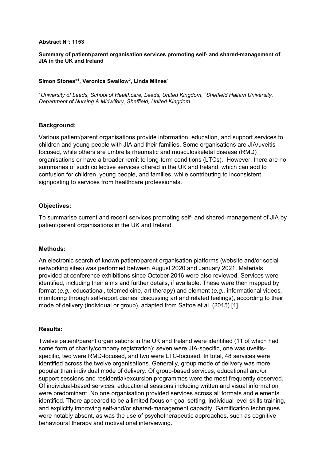#### **Abstract N°: 1153**

#### **Summary of patient/parent organisation services promoting self- and shared-management of JIA in the UK and Ireland**

### **Simon Stones\*<sup>1</sup> , Veronica Swallow<sup>2</sup> , Linda Milnes<sup>1</sup>**

*<sup>1</sup>University of Leeds, School of Healthcare, Leeds, United Kingdom*, *<sup>2</sup>Sheffield Hallam University, Department of Nursing & Midwifery, Sheffield, United Kingdom*

#### **Background:**

Various patient/parent organisations provide information, education, and support services to children and young people with JIA and their families. Some organisations are JIA/uveitis focused, while others are umbrella rheumatic and musculoskeletal disease (RMD) organisations or have a broader remit to long-term conditions (LTCs). However, there are no summaries of such collective services offered in the UK and Ireland, which can add to confusion for children, young people, and families, while contributing to inconsistent signposting to services from healthcare professionals.

#### **Objectives:**

To summarise current and recent services promoting self- and shared-management of JIA by patient/parent organisations in the UK and Ireland.

## **Methods:**

An electronic search of known patient/parent organisation platforms (website and/or social networking sites) was performed between August 2020 and January 2021. Materials provided at conference exhibitions since October 2016 were also reviewed. Services were identified, including their aims and further details, if available. These were then mapped by format (*e.g.,* educational, telemedicine, art therapy) and element (*e.g.,* informational videos*,*  monitoring through self-report diaries, discussing art and related feelings), according to their mode of delivery (individual or group), adapted from Sattoe et al. (2015) [1].

#### **Results:**

Twelve patient/parent organisations in the UK and Ireland were identified (11 of which had some form of charity/company registration): seven were JIA-specific, one was uveitisspecific, two were RMD-focused, and two were LTC-focused. In total, 48 services were identified across the twelve organisations. Generally, group mode of delivery was more popular than individual mode of delivery. Of group-based services, educational and/or support sessions and residential/excursion programmes were the most frequently observed. Of individual-based services, educational sessions including written and visual information were predominant. No one organisation provided services across all formats and elements identified. There appeared to be a limited focus on goal setting, individual level skills training, and explicitly improving self-and/or shared-management capacity. Gamification techniques were notably absent, as was the use of psychotherapeutic approaches, such as cognitive behavioural therapy and motivational interviewing.